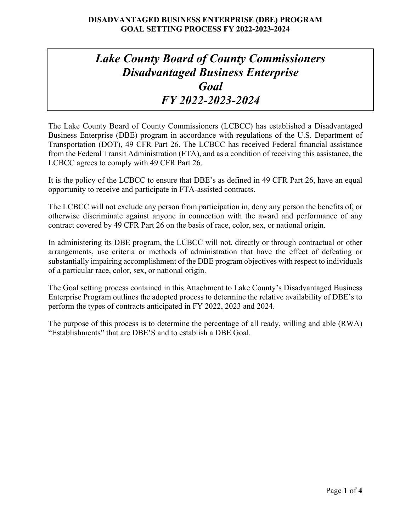# *Lake County Board of County Commissioners Disadvantaged Business Enterprise Goal FY 2022-2023-2024*

The Lake County Board of County Commissioners (LCBCC) has established a Disadvantaged Business Enterprise (DBE) program in accordance with regulations of the U.S. Department of Transportation (DOT), 49 CFR Part 26. The LCBCC has received Federal financial assistance from the Federal Transit Administration (FTA), and as a condition of receiving this assistance, the LCBCC agrees to comply with 49 CFR Part 26.

It is the policy of the LCBCC to ensure that DBE's as defined in 49 CFR Part 26, have an equal opportunity to receive and participate in FTA-assisted contracts.

The LCBCC will not exclude any person from participation in, deny any person the benefits of, or otherwise discriminate against anyone in connection with the award and performance of any contract covered by 49 CFR Part 26 on the basis of race, color, sex, or national origin.

In administering its DBE program, the LCBCC will not, directly or through contractual or other arrangements, use criteria or methods of administration that have the effect of defeating or substantially impairing accomplishment of the DBE program objectives with respect to individuals of a particular race, color, sex, or national origin.

The Goal setting process contained in this Attachment to Lake County's Disadvantaged Business Enterprise Program outlines the adopted process to determine the relative availability of DBE's to perform the types of contracts anticipated in FY 2022, 2023 and 2024.

The purpose of this process is to determine the percentage of all ready, willing and able (RWA) "Establishments" that are DBE'S and to establish a DBE Goal.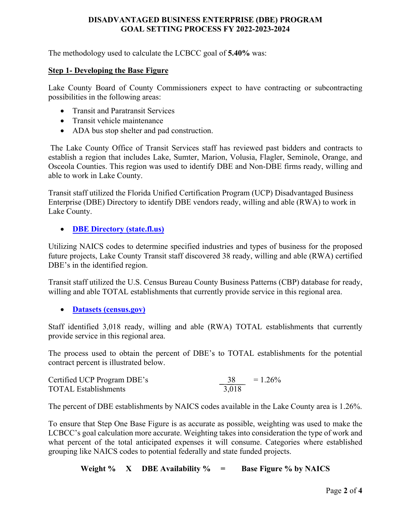## **DISADVANTAGED BUSINESS ENTERPRISE (DBE) PROGRAM GOAL SETTING PROCESS FY 2022-2023-2024**

The methodology used to calculate the LCBCC goal of **5.40%** was:

#### **Step 1- Developing the Base Figure**

Lake County Board of County Commissioners expect to have contracting or subcontracting possibilities in the following areas:

- Transit and Paratransit Services
- Transit vehicle maintenance
- ADA bus stop shelter and pad construction.

The Lake County Office of Transit Services staff has reviewed past bidders and contracts to establish a region that includes Lake, Sumter, Marion, Volusia, Flagler, Seminole, Orange, and Osceola Counties. This region was used to identify DBE and Non-DBE firms ready, willing and able to work in Lake County.

Transit staff utilized the Florida Unified Certification Program (UCP) Disadvantaged Business Enterprise (DBE) Directory to identify DBE vendors ready, willing and able (RWA) to work in Lake County.

## • **[DBE Directory \(state.fl.us\)](https://fdotxwp02.dot.state.fl.us/EqualOpportunityOfficeBusinessDirectory/CustomSearch.aspx)**

Utilizing NAICS codes to determine specified industries and types of business for the proposed future projects, Lake County Transit staff discovered 38 ready, willing and able (RWA) certified DBE's in the identified region.

Transit staff utilized the U.S. Census Bureau County Business Patterns (CBP) database for ready, willing and able TOTAL establishments that currently provide service in this regional area.

• **[Datasets \(census.gov\)](https://www.census.gov/data/datasets.html)**

Staff identified 3,018 ready, willing and able (RWA) TOTAL establishments that currently provide service in this regional area.

The process used to obtain the percent of DBE's to TOTAL establishments for the potential contract percent is illustrated below.

| Certified UCP Program DBE's | 38    | $= 1.26\%$ |
|-----------------------------|-------|------------|
| <b>TOTAL Establishments</b> | 3,018 |            |

The percent of DBE establishments by NAICS codes available in the Lake County area is 1.26%.

To ensure that Step One Base Figure is as accurate as possible, weighting was used to make the LCBCC's goal calculation more accurate. Weighting takes into consideration the type of work and what percent of the total anticipated expenses it will consume. Categories where established grouping like NAICS codes to potential federally and state funded projects.

#### **Weight % X DBE Availability % = Base Figure % by NAICS**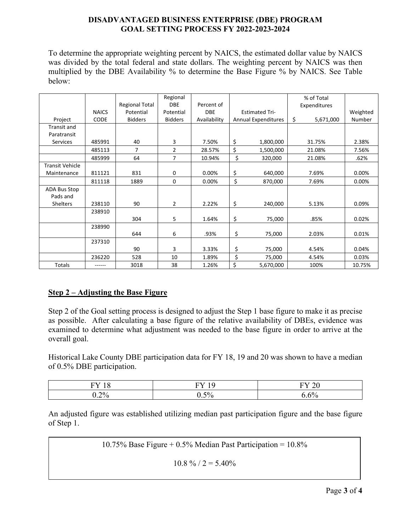## **DISADVANTAGED BUSINESS ENTERPRISE (DBE) PROGRAM GOAL SETTING PROCESS FY 2022-2023-2024**

To determine the appropriate weighting percent by NAICS, the estimated dollar value by NAICS was divided by the total federal and state dollars. The weighting percent by NAICS was then multiplied by the DBE Availability % to determine the Base Figure % by NAICS. See Table below:

|                        |              |                       | Regional       |              |                            | % of Total      |          |
|------------------------|--------------|-----------------------|----------------|--------------|----------------------------|-----------------|----------|
|                        |              | <b>Regional Total</b> | <b>DBE</b>     | Percent of   |                            | Expenditures    |          |
|                        | <b>NAICS</b> | Potential             | Potential      | <b>DBE</b>   | <b>Estimated Tri-</b>      |                 | Weighted |
| Project                | <b>CODE</b>  | <b>Bidders</b>        | <b>Bidders</b> | Availability | <b>Annual Expenditures</b> | \$<br>5,671,000 | Number   |
| <b>Transit and</b>     |              |                       |                |              |                            |                 |          |
| Paratransit            |              |                       |                |              |                            |                 |          |
| Services               | 485991       | 40                    | 3              | 7.50%        | \$<br>1,800,000            | 31.75%          | 2.38%    |
|                        | 485113       | 7                     | 2              | 28.57%       | \$<br>1,500,000            | 21.08%          | 7.56%    |
|                        | 485999       | 64                    | $\overline{7}$ | 10.94%       | \$<br>320,000              | 21.08%          | .62%     |
| <b>Transit Vehicle</b> |              |                       |                |              |                            |                 |          |
| Maintenance            | 811121       | 831                   | 0              | 0.00%        | \$<br>640,000              | 7.69%           | 0.00%    |
|                        | 811118       | 1889                  | $\mathbf 0$    | 0.00%        | \$<br>870,000              | 7.69%           | 0.00%    |
| ADA Bus Stop           |              |                       |                |              |                            |                 |          |
| Pads and               |              |                       |                |              |                            |                 |          |
| Shelters               | 238110       | 90                    | $\overline{2}$ | 2.22%        | \$<br>240,000              | 5.13%           | 0.09%    |
|                        | 238910       |                       |                |              |                            |                 |          |
|                        |              | 304                   | 5              | 1.64%        | \$<br>75,000               | .85%            | 0.02%    |
|                        | 238990       |                       |                |              |                            |                 |          |
|                        |              | 644                   | 6              | .93%         | \$<br>75,000               | 2.03%           | 0.01%    |
|                        | 237310       |                       |                |              |                            |                 |          |
|                        |              | 90                    | 3              | 3.33%        | \$<br>75,000               | 4.54%           | 0.04%    |
|                        | 236220       | 528                   | 10             | 1.89%        | \$<br>75,000               | 4.54%           | 0.03%    |
| Totals                 |              | 3018                  | 38             | 1.26%        | \$<br>5,670,000            | 100%            | 10.75%   |

# **Step 2 – Adjusting the Base Figure**

Step 2 of the Goal setting process is designed to adjust the Step 1 base figure to make it as precise as possible. After calculating a base figure of the relative availability of DBEs, evidence was examined to determine what adjustment was needed to the base figure in order to arrive at the overall goal.

Historical Lake County DBE participation data for FY 18, 19 and 20 was shown to have a median of 0.5% DBE participation.

| $-$<br>$\overline{\phantom{a}}$        | $\sim$<br>T<br>. .<br><b>.</b> | $\mathbf{u}$<br>້ |
|----------------------------------------|--------------------------------|-------------------|
| 20 <sub>0</sub><br>$\sim$ 0<br>$\cdot$ | 50/                            | $\sim$ $\sim$     |

An adjusted figure was established utilizing median past participation figure and the base figure of Step 1.

10.75% Base Figure + 0.5% Median Past Participation = 10.8%

 $10.8 \% / 2 = 5.40\%$